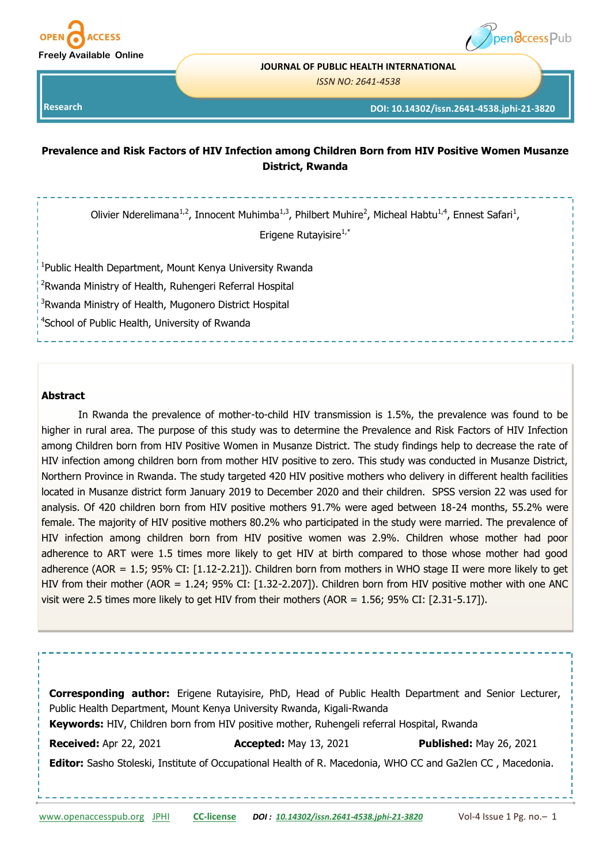



#### **JOURNAL OF PUBLIC HEALTH INTERNATIONAL**

*ISSN NO: 2641-4538* 

**Research** 

#### **DOI: 10.14302/issn.2641-4538.jphi-21-3820**

# **Prevalence and Risk Factors of HIV Infection among Children Born from HIV Positive Women Musanze District, Rwanda**

Olivier Nderelimana<sup>1,2</sup>, Innocent Muhimba<sup>1,3</sup>, Philbert Muhire<sup>2</sup>, Micheal Habtu<sup>1,4</sup>, Ennest Safari<sup>1</sup>,

Erigene Rutayisire<sup>1,\*</sup>

<sup>1</sup>Public Health Department, Mount Kenya University Rwanda

<sup>2</sup>Rwanda Ministry of Health, Ruhengeri Referral Hospital

<sup>3</sup>Rwanda Ministry of Health, Mugonero District Hospital

4 School of Public Health, University of Rwanda

#### **Abstract**

In Rwanda the prevalence of mother-to-child HIV transmission is 1.5%, the prevalence was found to be higher in rural area. The purpose of this study was to determine the Prevalence and Risk Factors of HIV Infection among Children born from HIV Positive Women in Musanze District. The study findings help to decrease the rate of HIV infection among children born from mother HIV positive to zero. This study was conducted in Musanze District, Northern Province in Rwanda. The study targeted 420 HIV positive mothers who delivery in different health facilities located in Musanze district form January 2019 to December 2020 and their children. SPSS version 22 was used for analysis. Of 420 children born from HIV positive mothers 91.7% were aged between 18-24 months, 55.2% were female. The majority of HIV positive mothers 80.2% who participated in the study were married. The prevalence of HIV infection among children born from HIV positive women was 2.9%. Children whose mother had poor adherence to ART were 1.5 times more likely to get HIV at birth compared to those whose mother had good adherence (AOR = 1.5; 95% CI: [1.12-2.21]). Children born from mothers in WHO stage II were more likely to get HIV from their mother (AOR = 1.24; 95% CI: [1.32-2.207]). Children born from HIV positive mother with one ANC visit were 2.5 times more likely to get HIV from their mothers (AOR = 1.56; 95% CI: [2.31-5.17]).

**Corresponding author:** Erigene Rutayisire, PhD, Head of Public Health Department and Senior Lecturer, Public Health Department, Mount Kenya University Rwanda, Kigali-Rwanda **Keywords:** HIV, Children born from HIV positive mother, Ruhengeli referral Hospital, Rwanda **Received:** Apr 22, 2021 **Accepted:** May 13, 2021 **Published:** May 26, 2021 **Editor:** Sasho Stoleski, Institute of Occupational Health of R. Macedonia, WHO CC and Ga2len CC , Macedonia.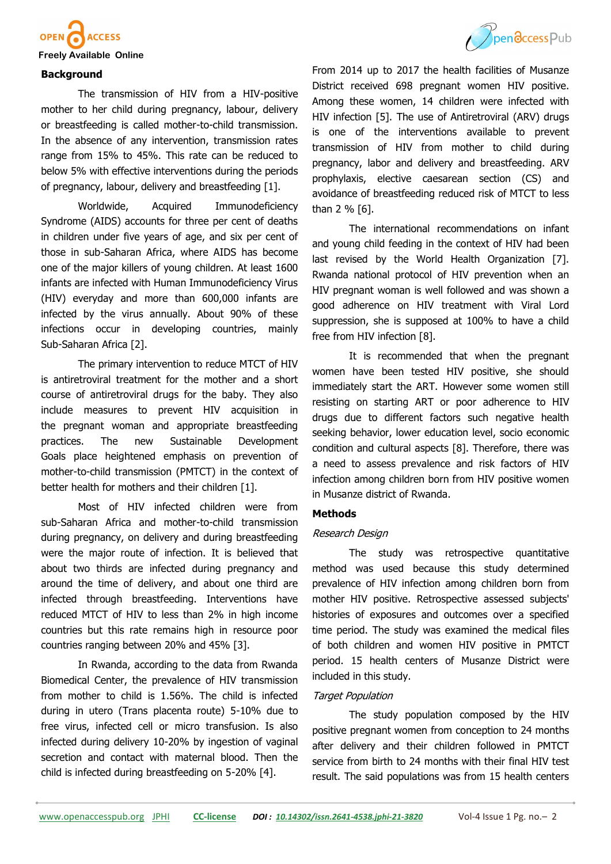

#### **Freely Available Online**

#### **Background**

The transmission of HIV from a HIV-positive mother to her child during pregnancy, labour, delivery or breastfeeding is called mother-to-child transmission. In the absence of any intervention, transmission rates range from 15% to 45%. This rate can be reduced to below 5% with effective interventions during the periods of pregnancy, labour, delivery and breastfeeding [1].

Worldwide, Acquired Immunodeficiency Syndrome (AIDS) accounts for three per cent of deaths in children under five years of age, and six per cent of those in sub-Saharan Africa, where AIDS has become one of the major killers of young children. At least 1600 infants are infected with Human Immunodeficiency Virus (HIV) everyday and more than 600,000 infants are infected by the virus annually. About 90% of these infections occur in developing countries, mainly Sub-Saharan Africa [2].

The primary intervention to reduce MTCT of HIV is antiretroviral treatment for the mother and a short course of antiretroviral drugs for the baby. They also include measures to prevent HIV acquisition in the pregnant woman and appropriate breastfeeding practices. The new Sustainable Development Goals place heightened emphasis on prevention of mother-to-child transmission (PMTCT) in the context of better health for mothers and their children [1].

Most of HIV infected children were from sub-Saharan Africa and mother-to-child transmission during pregnancy, on delivery and during breastfeeding were the major route of infection. It is believed that about two thirds are infected during pregnancy and around the time of delivery, and about one third are infected through breastfeeding. Interventions have reduced MTCT of HIV to less than 2% in high income countries but this rate remains high in resource poor countries ranging between 20% and 45% [3].

In Rwanda, according to the data from Rwanda Biomedical Center, the prevalence of HIV transmission from mother to child is 1.56%. The child is infected during in utero (Trans placenta route) 5-10% due to free virus, infected cell or micro transfusion. Is also infected during delivery 10-20% by ingestion of vaginal secretion and contact with maternal blood. Then the child is infected during breastfeeding on 5-20% [4].

From 2014 up to 2017 the health facilities of Musanze District received 698 pregnant women HIV positive. Among these women, 14 children were infected with HIV infection [5]. The use of Antiretroviral (ARV) drugs is one of the interventions available to prevent transmission of HIV from mother to child during pregnancy, labor and delivery and breastfeeding. ARV prophylaxis, elective caesarean section (CS) and avoidance of breastfeeding reduced risk of MTCT to less than 2 % [6].

The international recommendations on infant and young child feeding in the context of HIV had been last revised by the World Health Organization [7]. Rwanda national protocol of HIV prevention when an HIV pregnant woman is well followed and was shown a good adherence on HIV treatment with Viral Lord suppression, she is supposed at 100% to have a child free from HIV infection [8].

It is recommended that when the pregnant women have been tested HIV positive, she should immediately start the ART. However some women still resisting on starting ART or poor adherence to HIV drugs due to different factors such negative health seeking behavior, lower education level, socio economic condition and cultural aspects [8]. Therefore, there was a need to assess prevalence and risk factors of HIV infection among children born from HIV positive women in Musanze district of Rwanda.

# **Methods**

#### Research Design

The study was retrospective quantitative method was used because this study determined prevalence of HIV infection among children born from mother HIV positive. Retrospective assessed subjects' histories of exposures and outcomes over a specified time period. The study was examined the medical files of both children and women HIV positive in PMTCT period. 15 health centers of Musanze District were included in this study.

## Target Population

The study population composed by the HIV positive pregnant women from conception to 24 months after delivery and their children followed in PMTCT service from birth to 24 months with their final HIV test result. The said populations was from 15 health centers

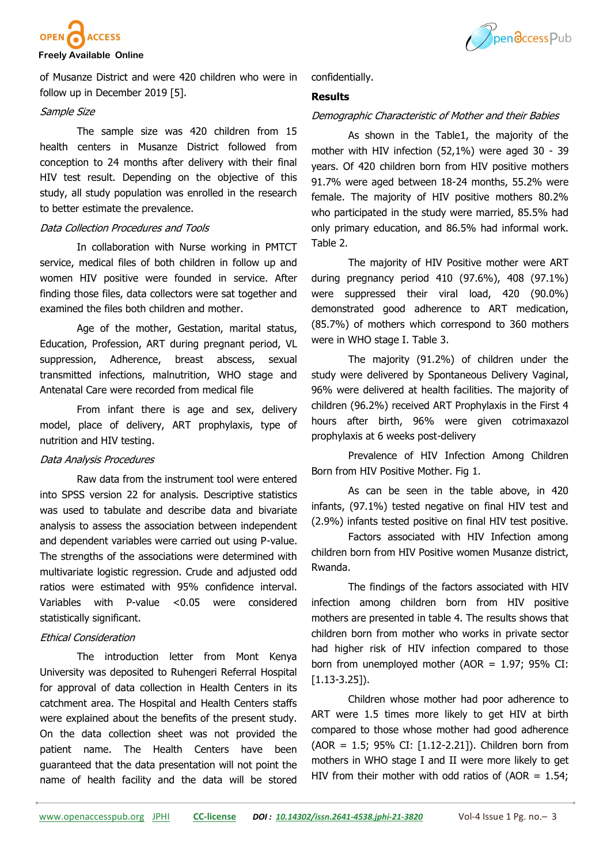

# Ppendccess Pub

# **Freely Available Online**

of Musanze District and were 420 children who were in follow up in December 2019 [5].

#### Sample Size

The sample size was 420 children from 15 health centers in Musanze District followed from conception to 24 months after delivery with their final HIV test result. Depending on the objective of this study, all study population was enrolled in the research to better estimate the prevalence.

# Data Collection Procedures and Tools

In collaboration with Nurse working in PMTCT service, medical files of both children in follow up and women HIV positive were founded in service. After finding those files, data collectors were sat together and examined the files both children and mother.

Age of the mother, Gestation, marital status, Education, Profession, ART during pregnant period, VL suppression, Adherence, breast abscess, sexual transmitted infections, malnutrition, WHO stage and Antenatal Care were recorded from medical file

From infant there is age and sex, delivery model, place of delivery, ART prophylaxis, type of nutrition and HIV testing.

# Data Analysis Procedures

Raw data from the instrument tool were entered into SPSS version 22 for analysis. Descriptive statistics was used to tabulate and describe data and bivariate analysis to assess the association between independent and dependent variables were carried out using P-value. The strengths of the associations were determined with multivariate logistic regression. Crude and adjusted odd ratios were estimated with 95% confidence interval. Variables with P-value <0.05 were considered statistically significant.

# Ethical Consideration

The introduction letter from Mont Kenya University was deposited to Ruhengeri Referral Hospital for approval of data collection in Health Centers in its catchment area. The Hospital and Health Centers staffs were explained about the benefits of the present study. On the data collection sheet was not provided the patient name. The Health Centers have been guaranteed that the data presentation will not point the name of health facility and the data will be stored confidentially.

# **Results**

# Demographic Characteristic of Mother and their Babies

As shown in the Table1, the majority of the mother with HIV infection (52,1%) were aged 30 - 39 years. Of 420 children born from HIV positive mothers 91.7% were aged between 18-24 months, 55.2% were female. The majority of HIV positive mothers 80.2% who participated in the study were married, 85.5% had only primary education, and 86.5% had informal work. Table 2.

The majority of HIV Positive mother were ART during pregnancy period 410 (97.6%), 408 (97.1%) were suppressed their viral load, 420 (90.0%) demonstrated good adherence to ART medication, (85.7%) of mothers which correspond to 360 mothers were in WHO stage I. Table 3.

The majority (91.2%) of children under the study were delivered by Spontaneous Delivery Vaginal, 96% were delivered at health facilities. The majority of children (96.2%) received ART Prophylaxis in the First 4 hours after birth, 96% were given cotrimaxazol prophylaxis at 6 weeks post-delivery

Prevalence of HIV Infection Among Children Born from HIV Positive Mother. Fig 1.

As can be seen in the table above, in 420 infants, (97.1%) tested negative on final HIV test and (2.9%) infants tested positive on final HIV test positive.

Factors associated with HIV Infection among children born from HIV Positive women Musanze district, Rwanda.

The findings of the factors associated with HIV infection among children born from HIV positive mothers are presented in table 4. The results shows that children born from mother who works in private sector had higher risk of HIV infection compared to those born from unemployed mother (AOR =  $1.97$ ; 95% CI: [1.13-3.25]).

Children whose mother had poor adherence to ART were 1.5 times more likely to get HIV at birth compared to those whose mother had good adherence (AOR = 1.5; 95% CI: [1.12-2.21]). Children born from mothers in WHO stage I and II were more likely to get HIV from their mother with odd ratios of (AOR  $= 1.54$ ;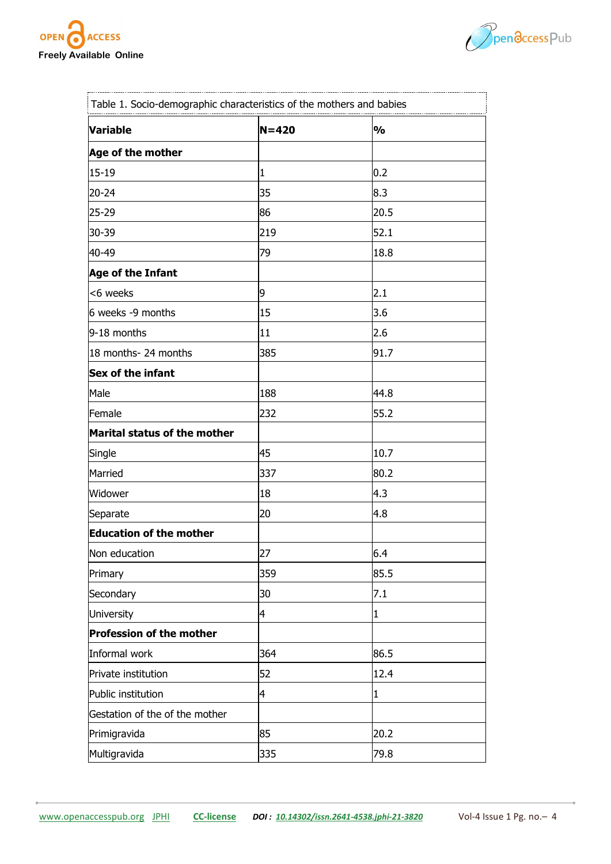



| Table 1. Socio-demographic characteristics of the mothers and babies |           |               |  |  |
|----------------------------------------------------------------------|-----------|---------------|--|--|
| <b>Variable</b>                                                      | $N = 420$ | $\frac{1}{2}$ |  |  |
| Age of the mother                                                    |           |               |  |  |
| $15 - 19$                                                            | 1         | 0.2           |  |  |
| 20-24                                                                | 35        | 8.3           |  |  |
| 25-29                                                                | 86        | 20.5          |  |  |
| 30-39                                                                | 219       | 52.1          |  |  |
| 40-49                                                                | 79        | 18.8          |  |  |
| Age of the Infant                                                    |           |               |  |  |
| <6 weeks                                                             | 9         | 2.1           |  |  |
| 6 weeks -9 months                                                    | 15        | 3.6           |  |  |
| 9-18 months                                                          | 11        | 2.6           |  |  |
| 18 months- 24 months                                                 | 385       | 91.7          |  |  |
| Sex of the infant                                                    |           |               |  |  |
| Male                                                                 | 188       | 44.8          |  |  |
| Female                                                               | 232       | 55.2          |  |  |
| Marital status of the mother                                         |           |               |  |  |
| Single                                                               | 45        | 10.7          |  |  |
| Married                                                              | 337       | 80.2          |  |  |
| Widower                                                              | 18        | 4.3           |  |  |
| Separate                                                             | 20        | 4.8           |  |  |
| <b>Education of the mother</b>                                       |           |               |  |  |
| Non education                                                        | 27        | 6.4           |  |  |
| Primary                                                              | 359       | 85.5          |  |  |
| Secondary                                                            | 30        | 7.1           |  |  |
| University                                                           | 4         | $\mathbf{1}$  |  |  |
| Profession of the mother                                             |           |               |  |  |
| Informal work                                                        | 364       | 86.5          |  |  |
| Private institution                                                  | 52        | 12.4          |  |  |
| Public institution                                                   | 4         | $\mathbf{1}$  |  |  |
| Gestation of the of the mother                                       |           |               |  |  |
| Primigravida                                                         | 85        | 20.2          |  |  |
| Multigravida                                                         | 335       | 79.8          |  |  |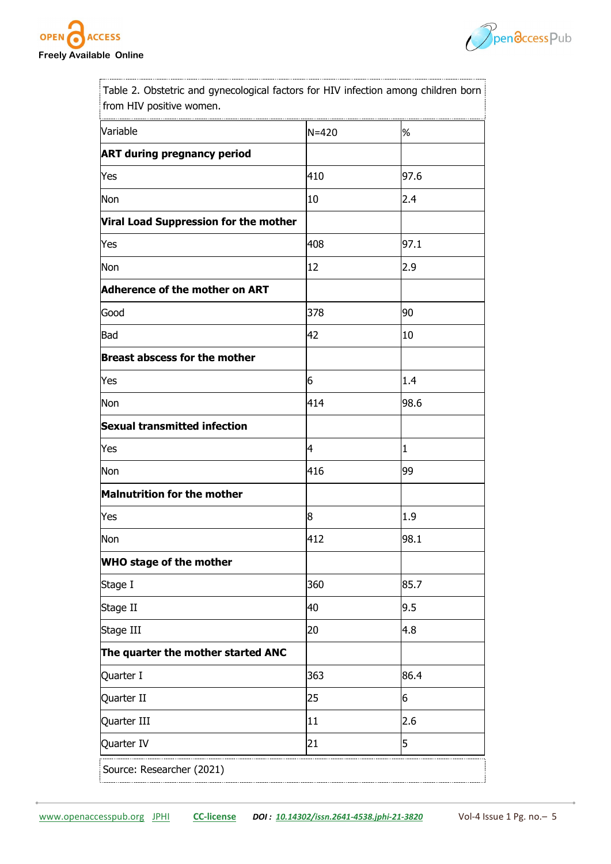



Table 2. Obstetric and gynecological factors for HIV infection among children born from HIV positive women.

| Variable                                     | $N = 420$ | %            |
|----------------------------------------------|-----------|--------------|
| <b>ART during pregnancy period</b>           |           |              |
| Yes                                          | 410       | 97.6         |
| Non                                          | 10        | 2.4          |
| <b>Viral Load Suppression for the mother</b> |           |              |
| Yes                                          | 408       | 97.1         |
| Non                                          | 12        | 2.9          |
| Adherence of the mother on ART               |           |              |
| Good                                         | 378       | 90           |
| Bad                                          | 42        | 10           |
| <b>Breast abscess for the mother</b>         |           |              |
| Yes                                          | 6         | 1.4          |
| Non                                          | 414       | 98.6         |
| <b>Sexual transmitted infection</b>          |           |              |
| Yes                                          | 4         | $\mathbf{1}$ |
| Non                                          | 416       | 99           |
| Malnutrition for the mother                  |           |              |
| Yes                                          | 8         | 1.9          |
| Non                                          | 412       | 98.1         |
| <b>WHO stage of the mother</b>               |           |              |
| Stage I                                      | 360       | 85.7         |
| Stage II                                     | 40        | 9.5          |
| Stage III                                    | 20        | 4.8          |
| The quarter the mother started ANC           |           |              |
| Quarter I                                    | 363       | 86.4         |
| Quarter II                                   | 25        | 6            |
| Quarter III                                  | 11        | 2.6          |
| Quarter IV                                   | 21        | 5            |
| Source: Researcher (2021)                    |           |              |
|                                              |           |              |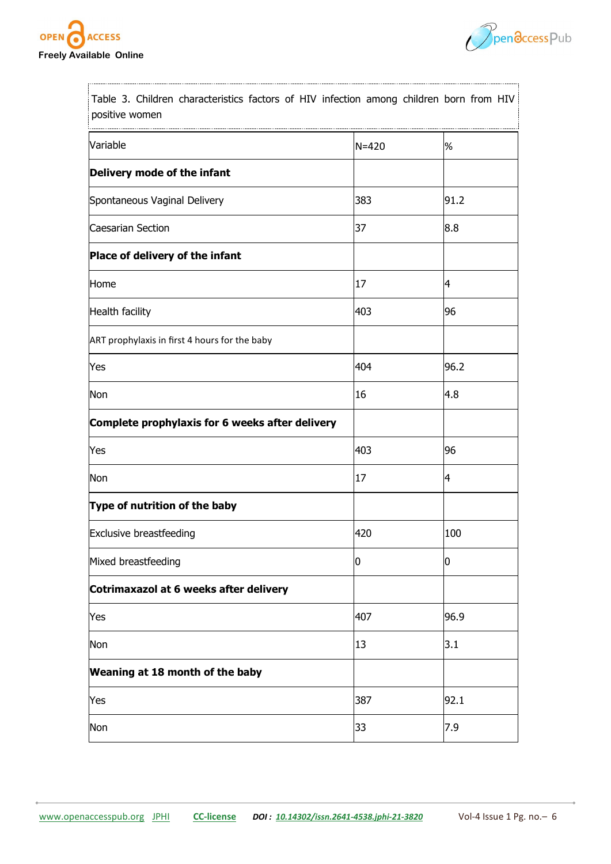



Table 3. Children characteristics factors of HIV infection among children born from HIV positive women

| Variable                                        | $N = 420$ | %              |
|-------------------------------------------------|-----------|----------------|
| Delivery mode of the infant                     |           |                |
| Spontaneous Vaginal Delivery                    | 383       | 91.2           |
| Caesarian Section                               | 37        | 8.8            |
| Place of delivery of the infant                 |           |                |
| Home                                            | 17        | $\overline{4}$ |
| Health facility                                 | 403       | 96             |
| ART prophylaxis in first 4 hours for the baby   |           |                |
| Yes                                             | 404       | 96.2           |
| Non                                             | 16        | 4.8            |
| Complete prophylaxis for 6 weeks after delivery |           |                |
| Yes                                             | 403       | 96             |
| Non                                             | 17        | 14             |
| Type of nutrition of the baby                   |           |                |
| <b>Exclusive breastfeeding</b>                  | 420       | 100            |
| Mixed breastfeeding                             | 10        | 0              |
| Cotrimaxazol at 6 weeks after delivery          |           |                |
| Yes                                             | 407       | 96.9           |
| Non                                             | 13        | 3.1            |
| Weaning at 18 month of the baby                 |           |                |
| Yes                                             | 387       | 92.1           |
| Non                                             | 33        | 7.9            |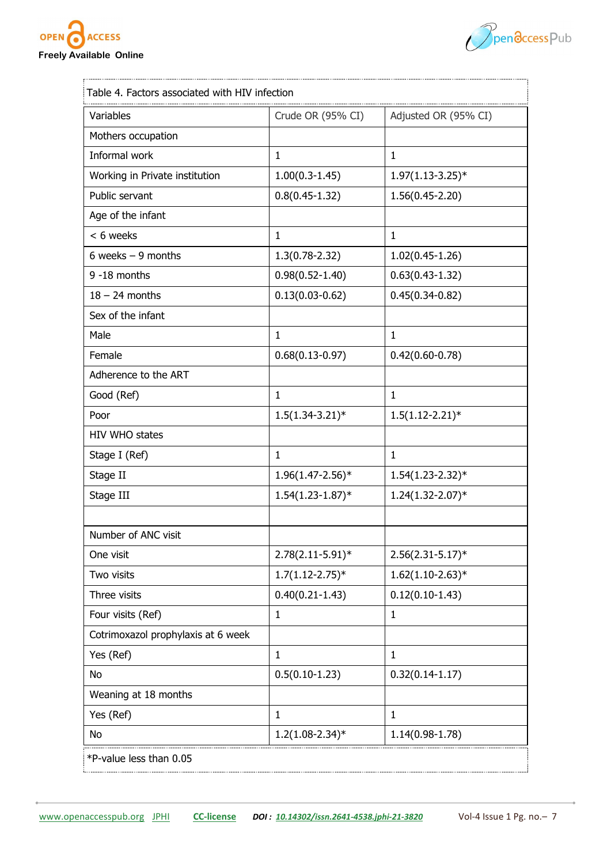



| Variables                          | Crude OR (95% CI)     | Adjusted OR (95% CI)  |
|------------------------------------|-----------------------|-----------------------|
| Mothers occupation                 |                       |                       |
| Informal work                      | $\mathbf{1}$          | $\mathbf{1}$          |
| Working in Private institution     | $1.00(0.3-1.45)$      | $1.97(1.13 - 3.25)^*$ |
| Public servant                     | $0.8(0.45 - 1.32)$    | $1.56(0.45 - 2.20)$   |
| Age of the infant                  |                       |                       |
| < 6 weeks                          | $\mathbf{1}$          | $\mathbf{1}$          |
| 6 weeks $-9$ months                | $1.3(0.78 - 2.32)$    | $1.02(0.45-1.26)$     |
| 9 -18 months                       | $0.98(0.52 - 1.40)$   | $0.63(0.43-1.32)$     |
| $18 - 24$ months                   | $0.13(0.03 - 0.62)$   | $0.45(0.34-0.82)$     |
| Sex of the infant                  |                       |                       |
| Male                               | $\mathbf{1}$          | $\mathbf{1}$          |
| Female                             | $0.68(0.13 - 0.97)$   | $0.42(0.60 - 0.78)$   |
| Adherence to the ART               |                       |                       |
| Good (Ref)                         | $\mathbf{1}$          | $\mathbf{1}$          |
| Poor                               | $1.5(1.34-3.21)^*$    | $1.5(1.12 - 2.21)^*$  |
| HIV WHO states                     |                       |                       |
| Stage I (Ref)                      | $\mathbf{1}$          | $\mathbf{1}$          |
| Stage II                           | $1.96(1.47 - 2.56)*$  | $1.54(1.23 - 2.32)*$  |
| Stage III                          | $1.54(1.23-1.87)$ *   | $1.24(1.32 - 2.07)*$  |
|                                    |                       |                       |
| Number of ANC visit                |                       |                       |
| One visit                          | $2.78(2.11 - 5.91)^*$ | $2.56(2.31 - 5.17)^*$ |
| Two visits                         | $1.7(1.12 - 2.75)^*$  | $1.62(1.10-2.63)*$    |
| Three visits                       | $0.40(0.21 - 1.43)$   | $0.12(0.10-1.43)$     |
| Four visits (Ref)                  | $\mathbf{1}$          | $\mathbf{1}$          |
| Cotrimoxazol prophylaxis at 6 week |                       |                       |
| Yes (Ref)                          | $\mathbf{1}$          | $\mathbf{1}$          |
| No                                 | $0.5(0.10-1.23)$      | $0.32(0.14-1.17)$     |
| Weaning at 18 months               |                       |                       |
| Yes (Ref)                          | $\mathbf{1}$          | $\mathbf{1}$          |
| No                                 | $1.2(1.08 - 2.34)^*$  | $1.14(0.98-1.78)$     |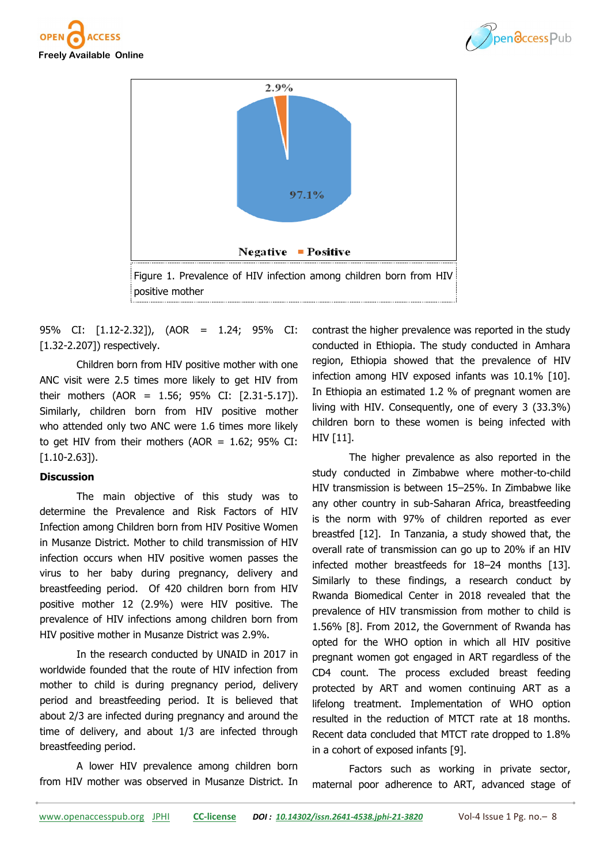





95% CI: [1.12-2.32]), (AOR = 1.24; 95% CI: [1.32-2.207]) respectively.

Children born from HIV positive mother with one ANC visit were 2.5 times more likely to get HIV from their mothers (AOR = 1.56; 95% CI: [2.31-5.17]). Similarly, children born from HIV positive mother who attended only two ANC were 1.6 times more likely to get HIV from their mothers (AOR =  $1.62$ ; 95% CI: [1.10-2.63]).

# **Discussion**

The main objective of this study was to determine the Prevalence and Risk Factors of HIV Infection among Children born from HIV Positive Women in Musanze District. Mother to child transmission of HIV infection occurs when HIV positive women passes the virus to her baby during pregnancy, delivery and breastfeeding period. Of 420 children born from HIV positive mother 12 (2.9%) were HIV positive. The prevalence of HIV infections among children born from HIV positive mother in Musanze District was 2.9%.

In the research conducted by UNAID in 2017 in worldwide founded that the route of HIV infection from mother to child is during pregnancy period, delivery period and breastfeeding period. It is believed that about 2/3 are infected during pregnancy and around the time of delivery, and about 1/3 are infected through breastfeeding period.

A lower HIV prevalence among children born from HIV mother was observed in Musanze District. In contrast the higher prevalence was reported in the study conducted in Ethiopia. The study conducted in Amhara region, Ethiopia showed that the prevalence of HIV infection among HIV exposed infants was 10.1% [10]. In Ethiopia an estimated 1.2 % of pregnant women are living with HIV. Consequently, one of every 3 (33.3%) children born to these women is being infected with HIV [11].

The higher prevalence as also reported in the study conducted in Zimbabwe where mother-to-child HIV transmission is between 15–25%. In Zimbabwe like any other country in sub-Saharan Africa, breastfeeding is the norm with 97% of children reported as ever breastfed [12]. In Tanzania, a study showed that, the overall rate of transmission can go up to 20% if an HIV infected mother breastfeeds for 18–24 months [13]. Similarly to these findings, a research conduct by Rwanda Biomedical Center in 2018 revealed that the prevalence of HIV transmission from mother to child is 1.56% [8]. From 2012, the Government of Rwanda has opted for the WHO option in which all HIV positive pregnant women got engaged in ART regardless of the CD4 count. The process excluded breast feeding protected by ART and women continuing ART as a lifelong treatment. Implementation of WHO option resulted in the reduction of MTCT rate at 18 months. Recent data concluded that MTCT rate dropped to 1.8% in a cohort of exposed infants [9].

Factors such as working in private sector, maternal poor adherence to ART, advanced stage of